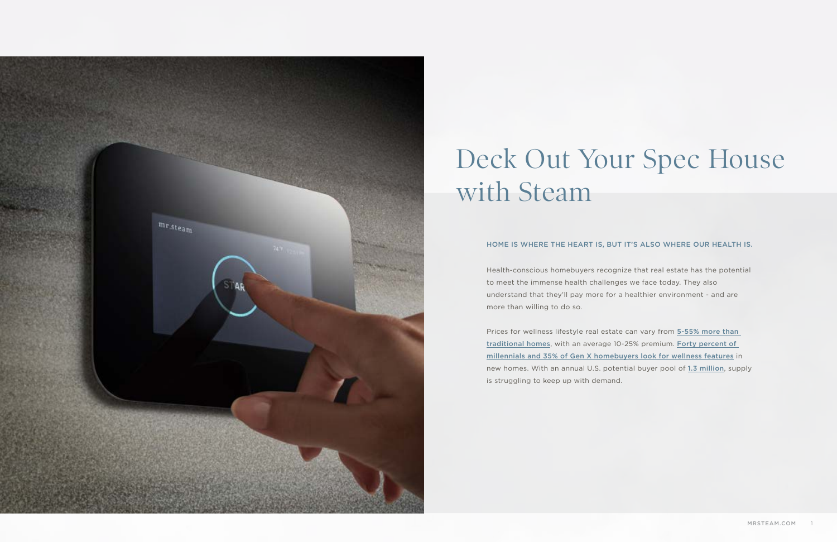

### Deck Out Your Spec House with Steam

Health-conscious homebuyers recognize that real estate has the potential to meet the immense health challenges we face today. They also understand that they'll pay more for a healthier environment - and are more than willing to do so.

Prices for wellness lifestyle real estate can vary from 5-55% more than [traditional homes](https://globalwellnessinstitute.org/what-is-wellness/what-is-wellness-lifestyle-real-estate-communities/), with an average 10-25% premium. [Forty percent of](https://www.builderonline.com/building/safety-healthfulness/health-and-wellness-become-top-of-mind-for-new-home-builders-and-buyers_o)  [millennials and 35% of Gen X homebuyers look for wellness features](https://www.builderonline.com/building/safety-healthfulness/health-and-wellness-become-top-of-mind-for-new-home-builders-and-buyers_o) in new homes. With an annual U.S. potential buyer pool of [1.3 million](https://globalwellnessinstitute.org/what-is-wellness/what-is-wellness-lifestyle-real-estate-communities/), supply is struggling to keep up with demand.

#### HOME IS WHERE THE HEART IS, BUT IT'S ALSO WHERE OUR HEALTH IS.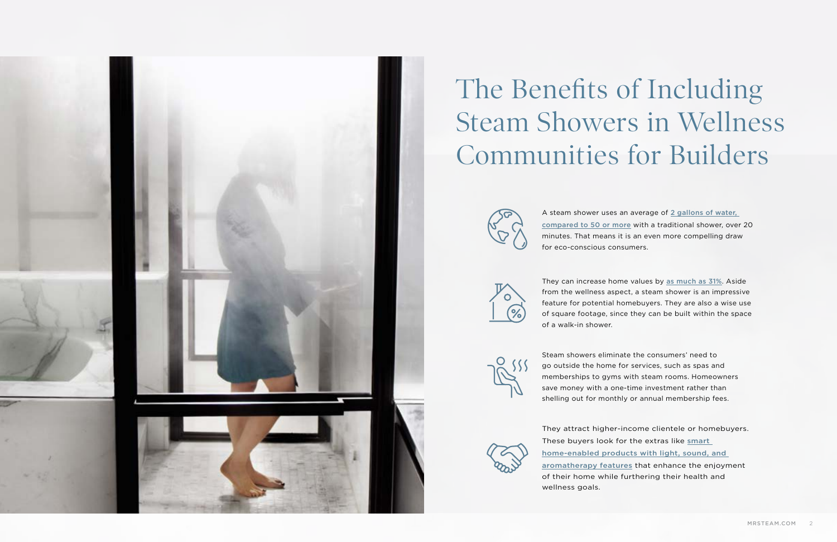

## The Benefits of Including Steam Showers in Wellness Communities for Builders



A steam shower uses an average of 2 gallons of water, [compared to 50 or more](https://www.modernbathroom.com/blog/post/2017/11/28/benefits-of-having-a-steam-shower-in-your-home#:~:text=In%2020%20minutes%20of%20use,in%20eco%2Dfriendly%20home%20designs.) with a traditional shower, over 20 minutes. That means it is an even more compelling draw for eco-conscious consumers.

They can increase home values by [as much as 31%](https://www.zillow.com/research/listing-features-that-sell-23814/). Aside from the wellness aspect, a steam shower is an impressive feature for potential homebuyers. They are also a wise use of square footage, since they can be built within the space





Steam showers eliminate the consumers' need to go outside the home for services, such as spas and memberships to gyms with steam rooms. Homeowners save money with a one-time investment rather than shelling out for monthly or annual membership fees.

They attract higher-income clientele or homebuyers. These buyers look for the extras like [smart](https://www.mrsteam.com/steam-packages/)  [home-enabled products with light, sound, and](https://www.mrsteam.com/steam-packages/)  [aromatherapy features](https://www.mrsteam.com/steam-packages/) that enhance the enjoyment of their home while furthering their health and wellness goals.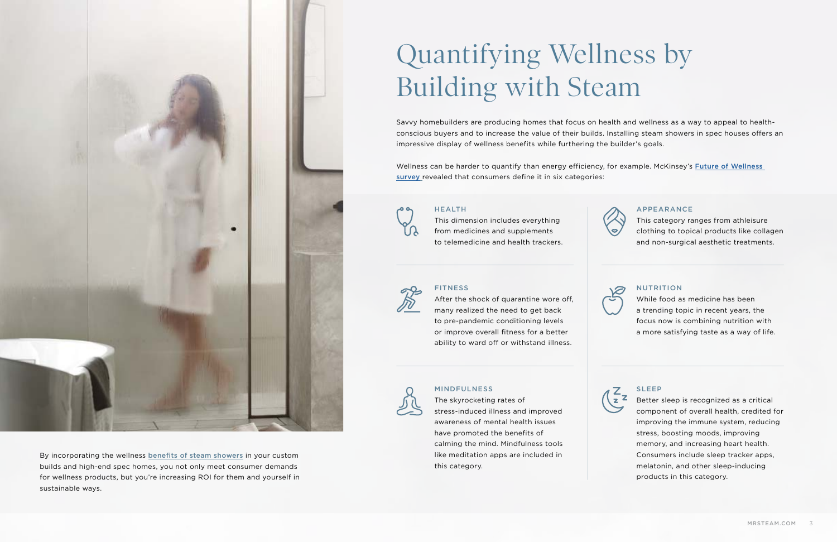By incorporating the wellness [benefits of steam showers](https://blog.mrsteam.com/40-benefits-of-steam-bathing) in your custom builds and high-end spec homes, you not only meet consumer demands for wellness products, but you're increasing ROI for them and yourself in

sustainable ways.

# Quantifying Wellness by Building with Steam

Savvy homebuilders are producing homes that focus on health and wellness as a way to appeal to healthconscious buyers and to increase the value of their builds. Installing steam showers in spec houses offers an impressive display of wellness benefits while furthering the builder's goals.

Wellness can be harder to quantify than energy efficiency, for example. McKinsey's [Future of Wellness](https://www.mckinsey.com/industries/consumer-packaged-goods/our-insights/feeling-good-the-future-of-the-1-5-trillion-wellness-market)  [survey](https://www.mckinsey.com/industries/consumer-packaged-goods/our-insights/feeling-good-the-future-of-the-1-5-trillion-wellness-market) revealed that consumers define it in six categories:



#### HEALTH

This dimension includes everything from medicines and supplements to telemedicine and health trackers.





### **FITNESS**

#### NUTRITION

While food as medicine has been a trending topic in recent years, the focus now is combining nutrition with a more satisfying taste as a way of life.



After the shock of quarantine wore off, many realized the need to get back to pre-pandemic conditioning levels or improve overall fitness for a better ability to ward off or withstand illness.



#### MINDFULNESS

The skyrocketing rates of stress-induced illness and improved awareness of mental health issues have promoted the benefits of calming the mind. Mindfulness tools like meditation apps are included in this category.





#### APPEARANCE

This category ranges from athleisure clothing to topical products like collagen and non-surgical aesthetic treatments.



#### SLEEP

Better sleep is recognized as a critical component of overall health, credited for improving the immune system, reducing stress, boosting moods, improving memory, and increasing heart health. Consumers include sleep tracker apps, melatonin, and other sleep-inducing products in this category.